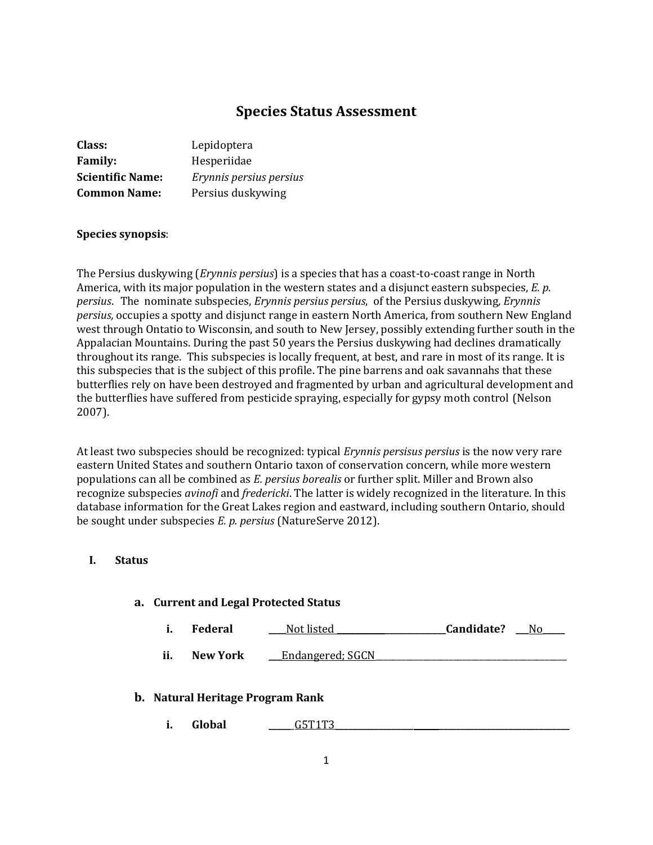# **Species Status Assessment**

| Class:                  | Lepidoptera             |
|-------------------------|-------------------------|
| <b>Family:</b>          | Hesperiidae             |
| <b>Scientific Name:</b> | Erynnis persius persius |
| <b>Common Name:</b>     | Persius duskywing       |

### **Species synopsis**:

The Persius duskywing (*Erynnis persius*) is a species that has a coast-to-coast range in North America, with its major population in the western states and a disjunct eastern subspecies, *E. p. persius*.The nominate subspecies, *Erynnis persius persius*, of the Persius duskywing*, Erynnis persius,* occupies a spotty and disjunct range in eastern North America, from southern New England west through Ontatio to Wisconsin, and south to New Jersey, possibly extending further south in the Appalacian Mountains. During the past 50 years the Persius duskywing had declines dramatically throughout its range. This subspecies is locally frequent, at best, and rare in most of its range. It is this subspecies that is the subject of this profile. The pine barrens and oak savannahs that these butterflies rely on have been destroyed and fragmented by urban and agricultural development and the butterflies have suffered from pesticide spraying, especially for gypsy moth control (Nelson 2007).

At least two subspecies should be recognized: typical *Erynnis persisus persius* is the now very rare eastern United States and southern Ontario taxon of conservation concern, while more western populations can all be combined as *E. persius borealis* or further split. Miller and Brown also recognize subspecies *avinofi* and *fredericki*. The latter is widely recognized in the literature. In this database information for the Great Lakes region and eastward, including southern Ontario, should be sought under subspecies *E. p. persius* (NatureServe 2012).

### **I. Status**

#### **a. Current and Legal Protected Status**

**i. Federal \_\_\_\_**Not listed **\_\_\_\_\_\_\_\_\_\_\_\_\_\_\_\_\_\_\_\_\_\_\_\_\_Candidate? \_\_\_**No**\_\_\_\_\_** 

**ii.** New York **\_\_\_Endangered**; SGCN

#### **b. Natural Heritage Program Rank**

**i. Global \_\_\_\_\_**\_G5T1T3**\_\_\_\_\_\_\_\_\_\_\_\_\_\_\_\_\_\_ \_\_\_\_\_\_\_\_\_\_\_\_\_\_\_\_\_\_\_\_\_\_\_\_\_\_\_\_\_\_**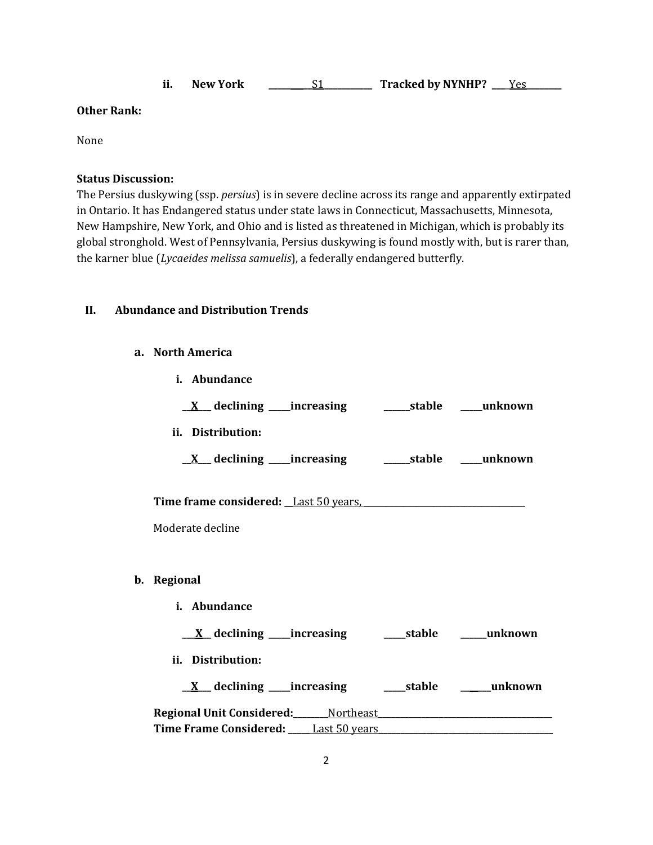|  | <b>New York</b> |  | <b>Tracked by NYNHP?</b> |  |
|--|-----------------|--|--------------------------|--|
|--|-----------------|--|--------------------------|--|

#### **Other Rank:**

None

### **Status Discussion:**

The Persius duskywing (ssp. *persius*) is in severe decline across its range and apparently extirpated in Ontario. It has Endangered status under state laws in Connecticut, Massachusetts, Minnesota, New Hampshire, New York, and Ohio and is listed as threatened in Michigan, which is probably its global stronghold. West of Pennsylvania, Persius duskywing is found mostly with, but is rarer than, the karner blue (*Lycaeides melissa samuelis*), a federally endangered butterfly.

#### **II. Abundance and Distribution Trends**

#### **a. North America**

**b**.

| i. Abundance                                                                          |  |  |  |  |
|---------------------------------------------------------------------------------------|--|--|--|--|
|                                                                                       |  |  |  |  |
| ii. Distribution:                                                                     |  |  |  |  |
| <u>X</u> declining increasing stable mush own                                         |  |  |  |  |
| Time frame considered: Last 50 years,                                                 |  |  |  |  |
| Moderate decline                                                                      |  |  |  |  |
|                                                                                       |  |  |  |  |
| Regional                                                                              |  |  |  |  |
| i. Abundance                                                                          |  |  |  |  |
|                                                                                       |  |  |  |  |
| ii. Distribution:                                                                     |  |  |  |  |
|                                                                                       |  |  |  |  |
| Regional Unit Considered: Mortheast Manual According to the Regional Unit Considered: |  |  |  |  |
|                                                                                       |  |  |  |  |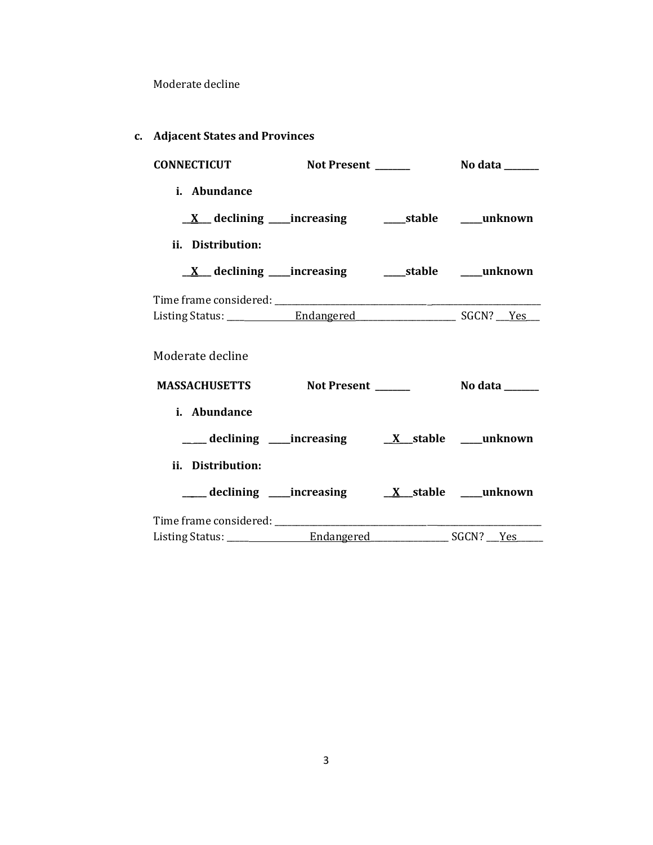Moderate decline

| Aujacent states and Trovinces                               |             |                                                                                                                                                                                                                                        |
|-------------------------------------------------------------|-------------|----------------------------------------------------------------------------------------------------------------------------------------------------------------------------------------------------------------------------------------|
| <b>CONNECTICUT</b>                                          | Not Present | No data <b>waxaa ka dhinaha dheed ah dheed ah duunad isaa</b> dheed ah duunka badan ah duunka badan ah duunka badan a<br>Dadka badan ah duunka badan ah duunka badan ah duunka badan ah duunka badan ah duunka badan ah duunka badan a |
| <i>i.</i> Abundance                                         |             |                                                                                                                                                                                                                                        |
|                                                             |             |                                                                                                                                                                                                                                        |
| ii. Distribution:                                           |             |                                                                                                                                                                                                                                        |
|                                                             |             |                                                                                                                                                                                                                                        |
|                                                             |             |                                                                                                                                                                                                                                        |
|                                                             |             |                                                                                                                                                                                                                                        |
| Moderate decline                                            |             |                                                                                                                                                                                                                                        |
| <b>MASSACHUSETTS</b>                                        | Not Present | No data <b>waxa</b>                                                                                                                                                                                                                    |
| i. Abundance                                                |             |                                                                                                                                                                                                                                        |
| ___declining ___increasing ___ <u>X__</u> stable ___unknown |             |                                                                                                                                                                                                                                        |
| ii. Distribution:                                           |             |                                                                                                                                                                                                                                        |
|                                                             |             |                                                                                                                                                                                                                                        |
|                                                             |             |                                                                                                                                                                                                                                        |
|                                                             |             |                                                                                                                                                                                                                                        |

**c. Adjacent States and Provinces**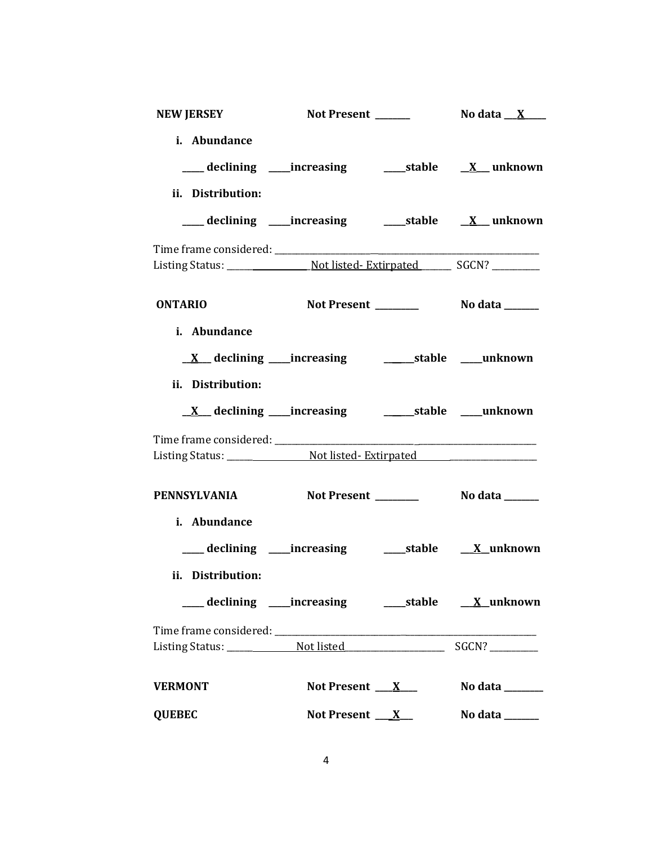|                | <b>NEW JERSEY</b>   | Not Present ______                                               | No data __ <u>X</u> ____        |
|----------------|---------------------|------------------------------------------------------------------|---------------------------------|
|                | i. Abundance        |                                                                  |                                 |
|                |                     |                                                                  |                                 |
|                | ii. Distribution:   |                                                                  |                                 |
|                |                     | ___ declining ____increasing ______stable __ <u>X</u> __ unknown |                                 |
|                |                     |                                                                  |                                 |
| <b>ONTARIO</b> |                     |                                                                  |                                 |
|                | i. Abundance        |                                                                  |                                 |
|                |                     |                                                                  |                                 |
|                | ii. Distribution:   |                                                                  |                                 |
|                |                     |                                                                  |                                 |
|                |                     |                                                                  |                                 |
|                | <b>PENNSYLVANIA</b> |                                                                  |                                 |
|                | i. Abundance        |                                                                  |                                 |
|                |                     | ___ declining ____increasing ______stable ___ X_unknown          |                                 |
|                | ii. Distribution:   |                                                                  |                                 |
|                |                     | ___ declining ____increasing ______stable ____X_unknown          |                                 |
|                |                     |                                                                  |                                 |
| <b>VERMONT</b> |                     | Not Present $X_{-}$                                              | No data _______                 |
| <b>QUEBEC</b>  |                     |                                                                  | Not Present $X$ No data _______ |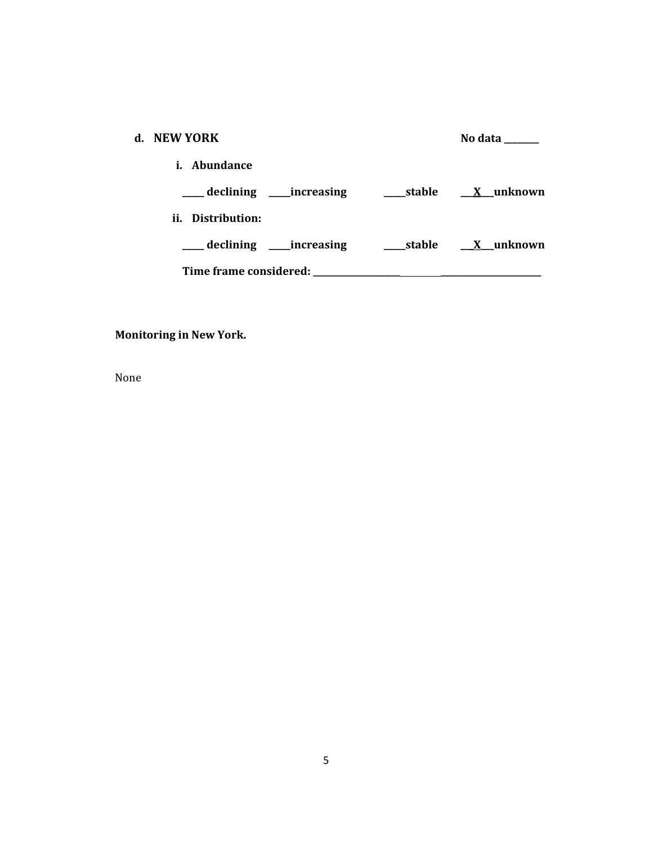| d. NEW YORK                      |        | No data          |
|----------------------------------|--------|------------------|
| <i>i.</i> Abundance              |        |                  |
| ___ declining _____increasing    | stable | <u>X</u> unknown |
| ii. Distribution:                |        |                  |
| ____ declining ______ increasing |        | stable X unknown |
| Time frame considered:           |        |                  |

# **Monitoring in New York.**

None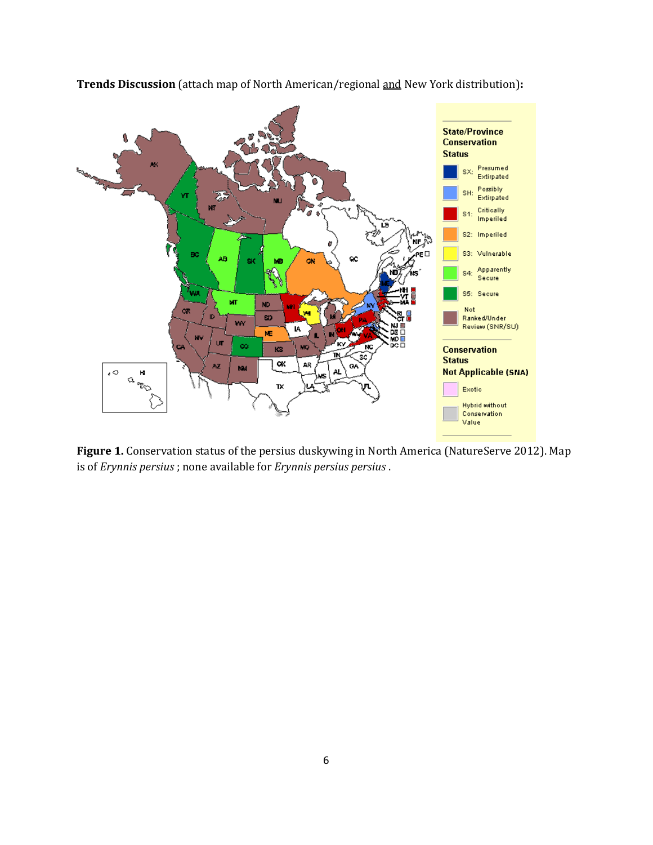

**Trends Discussion** (attach map of North American/regional and New York distribution)**:**

**Figure 1.** Conservation status of the persius duskywing in North America (NatureServe 2012). Map is of *Erynnis persius* ; none available for *Erynnis persius persius* .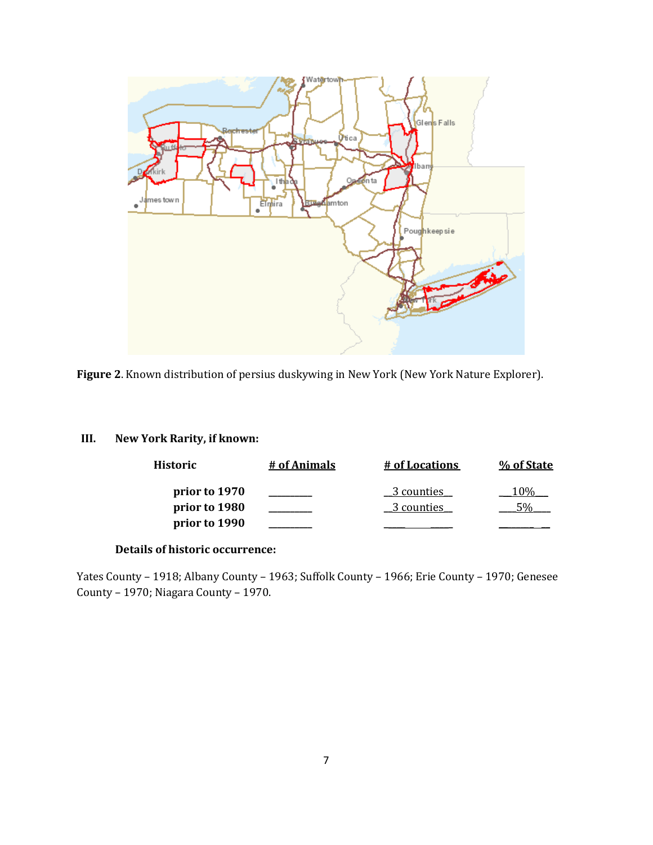

**Figure 2**. Known distribution of persius duskywing in New York (New York Nature Explorer).

# **III. New York Rarity, if known:**

| Historic      | # of Animals | # of Locations | % of State |
|---------------|--------------|----------------|------------|
| prior to 1970 |              | 3 counties     | 10%        |
| prior to 1980 |              | 3 counties     |            |
| prior to 1990 |              |                |            |

#### **Details of historic occurrence:**

Yates County – 1918; Albany County – 1963; Suffolk County – 1966; Erie County – 1970; Genesee County – 1970; Niagara County – 1970.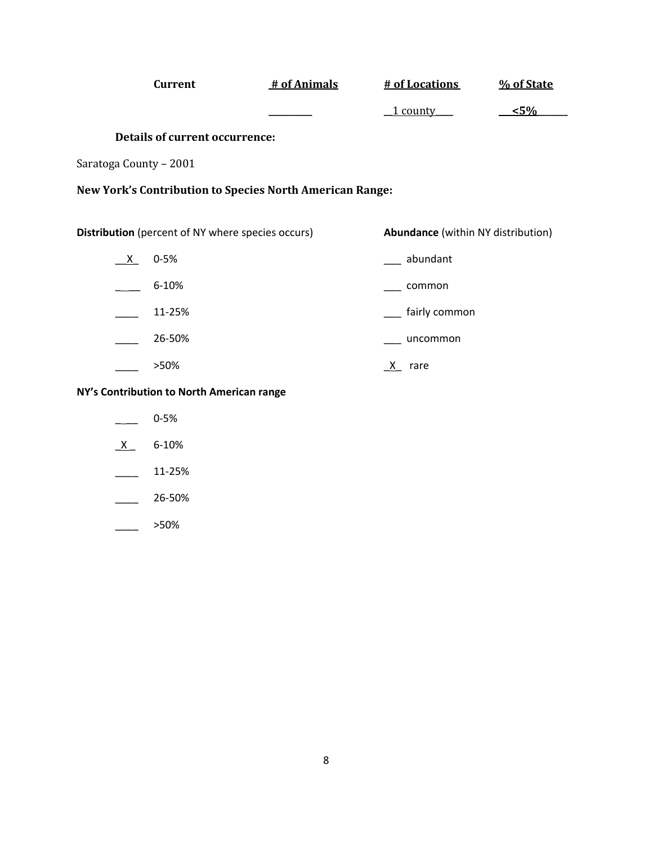|                                           | <b>Current</b>                                           | # of Animals                                             |        | # of Locations                            | % of State |
|-------------------------------------------|----------------------------------------------------------|----------------------------------------------------------|--------|-------------------------------------------|------------|
|                                           |                                                          |                                                          |        | 1 county                                  | $5\%$      |
|                                           | <b>Details of current occurrence:</b>                    |                                                          |        |                                           |            |
| Saratoga County - 2001                    |                                                          |                                                          |        |                                           |            |
|                                           |                                                          | New York's Contribution to Species North American Range: |        |                                           |            |
|                                           |                                                          |                                                          |        |                                           |            |
|                                           | <b>Distribution</b> (percent of NY where species occurs) |                                                          |        | <b>Abundance</b> (within NY distribution) |            |
| $\mathsf{X}$                              | $0 - 5%$                                                 |                                                          |        | abundant                                  |            |
|                                           | 6-10%                                                    |                                                          |        | common                                    |            |
|                                           | 11-25%                                                   |                                                          |        | fairly common                             |            |
|                                           | 26-50%                                                   |                                                          |        | uncommon                                  |            |
|                                           | >50%                                                     |                                                          | X rare |                                           |            |
| NY's Contribution to North American range |                                                          |                                                          |        |                                           |            |
|                                           | $0 - 5%$                                                 |                                                          |        |                                           |            |
| X.                                        | 6-10%                                                    |                                                          |        |                                           |            |

- \_\_\_\_ 11-25%
- $-26 50%$
- $\frac{1}{2}$  >50%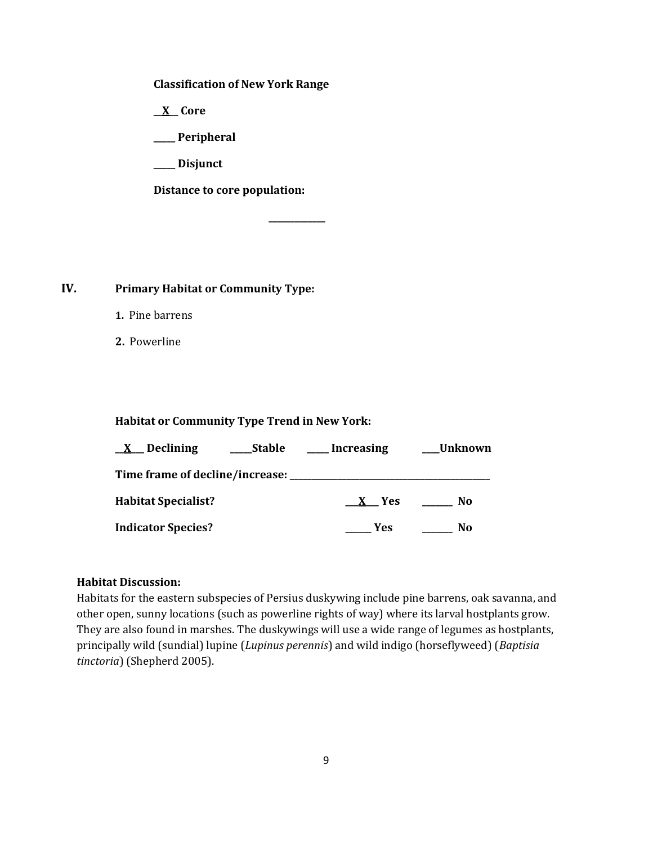**Classification of New York Range**

**\_\_X\_\_ Core**

**\_\_\_\_\_ Peripheral**

**\_\_\_\_\_ Disjunct**

**Distance to core population:**

**IV. Primary Habitat or Community Type:** 

- **1.** Pine barrens
- **2.** Powerline

**Habitat or Community Type Trend in New York:**

| <u>X</u> Declining              | <b>Stable</b> | Increasing | Unknown |
|---------------------------------|---------------|------------|---------|
| Time frame of decline/increase: |               |            |         |
| <b>Habitat Specialist?</b>      |               | <b>Yes</b> | No      |
| <b>Indicator Species?</b>       |               | Yes        | No      |

**\_\_\_\_\_\_\_\_\_\_\_\_\_**

## **Habitat Discussion:**

Habitats for the eastern subspecies of Persius duskywing include pine barrens, oak savanna, and other open, sunny locations (such as powerline rights of way) where its larval hostplants grow. They are also found in marshes. The duskywings will use a wide range of legumes as hostplants, principally wild (sundial) lupine (*Lupinus perennis*) and wild indigo (horseflyweed) (*Baptisia tinctoria*) (Shepherd 2005).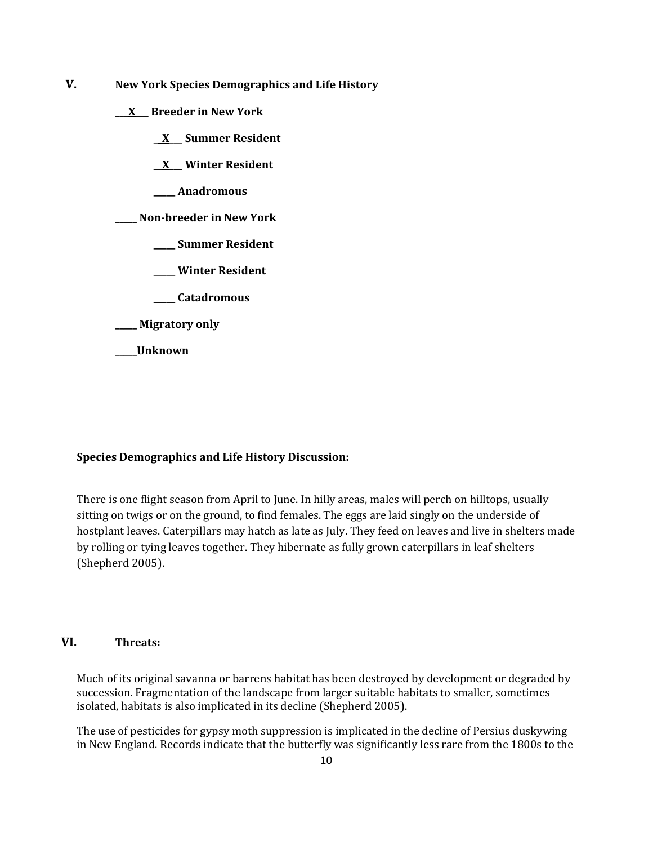- **V. New York Species Demographics and Life History**
	- **\_\_\_X\_\_\_ Breeder in New York**
		- **\_\_X\_\_\_ Summer Resident**

**\_\_X\_\_\_ Winter Resident**

**\_\_\_\_\_ Anadromous**

**\_\_\_\_\_ Non-breeder in New York**

- **\_\_\_\_\_ Summer Resident**
- **\_\_\_\_\_ Winter Resident**
- **\_\_\_\_\_ Catadromous**
- **\_\_\_\_\_ Migratory only**
- **\_\_\_\_\_Unknown**

### **Species Demographics and Life History Discussion:**

There is one flight season from April to June. In hilly areas, males will perch on hilltops, usually sitting on twigs or on the ground, to find females. The eggs are laid singly on the underside of hostplant leaves. Caterpillars may hatch as late as July. They feed on leaves and live in shelters made by rolling or tying leaves together. They hibernate as fully grown caterpillars in leaf shelters (Shepherd 2005).

### **VI. Threats:**

Much of its original savanna or barrens habitat has been destroyed by development or degraded by succession. Fragmentation of the landscape from larger suitable habitats to smaller, sometimes isolated, habitats is also implicated in its decline (Shepherd 2005).

The use of pesticides for gypsy moth suppression is implicated in the decline of Persius duskywing in New England. Records indicate that the butterfly was significantly less rare from the 1800s to the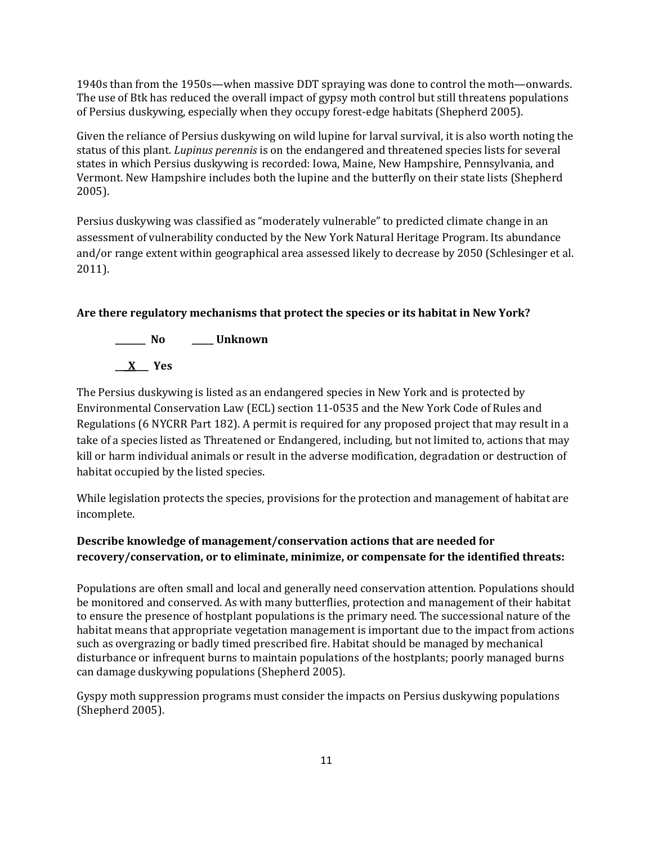1940s than from the 1950s—when massive DDT spraying was done to control the moth—onwards. The use of Btk has reduced the overall impact of gypsy moth control but still threatens populations of Persius duskywing, especially when they occupy forest-edge habitats (Shepherd 2005).

Given the reliance of Persius duskywing on wild lupine for larval survival, it is also worth noting the status of this plant. *Lupinus perennis* is on the endangered and threatened species lists for several states in which Persius duskywing is recorded: Iowa, Maine, New Hampshire, Pennsylvania, and Vermont. New Hampshire includes both the lupine and the butterfly on their state lists (Shepherd 2005).

Persius duskywing was classified as "moderately vulnerable" to predicted climate change in an assessment of vulnerability conducted by the New York Natural Heritage Program. Its abundance and/or range extent within geographical area assessed likely to decrease by 2050 (Schlesinger et al. 2011).

## **Are there regulatory mechanisms that protect the species or its habitat in New York?**



The Persius duskywing is listed as an endangered species in New York and is protected by Environmental Conservation Law (ECL) section 11-0535 and the New York Code of Rules and Regulations (6 NYCRR Part 182). A permit is required for any proposed project that may result in a take of a species listed as Threatened or Endangered, including, but not limited to, actions that may kill or harm individual animals or result in the adverse modification, degradation or destruction of habitat occupied by the listed species.

While legislation protects the species, provisions for the protection and management of habitat are incomplete.

# **Describe knowledge of management/conservation actions that are needed for recovery/conservation, or to eliminate, minimize, or compensate for the identified threats:**

Populations are often small and local and generally need conservation attention. Populations should be monitored and conserved. As with many butterflies, protection and management of their habitat to ensure the presence of hostplant populations is the primary need. The successional nature of the habitat means that appropriate vegetation management is important due to the impact from actions such as overgrazing or badly timed prescribed fire. Habitat should be managed by mechanical disturbance or infrequent burns to maintain populations of the hostplants; poorly managed burns can damage duskywing populations (Shepherd 2005).

Gyspy moth suppression programs must consider the impacts on Persius duskywing populations (Shepherd 2005).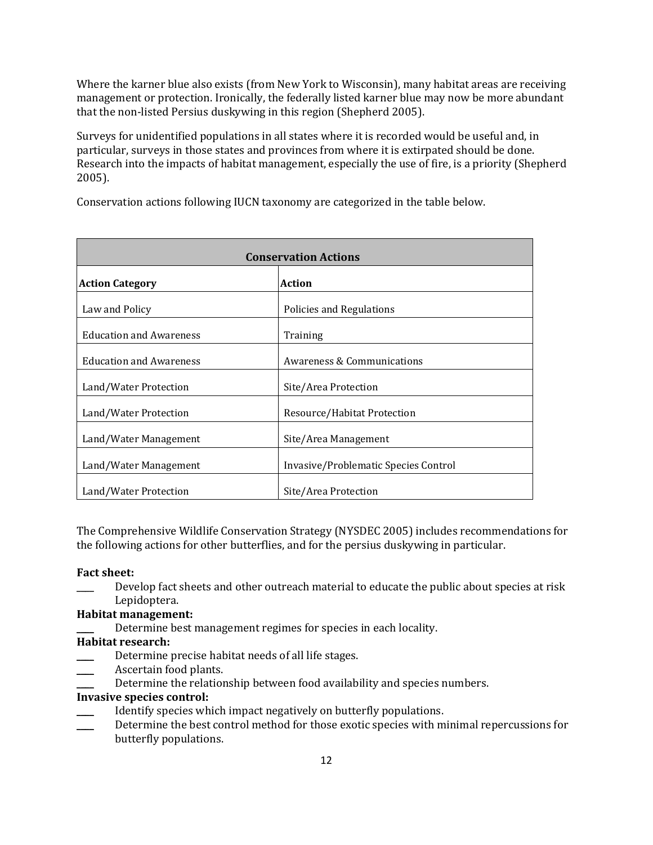Where the karner blue also exists (from New York to Wisconsin), many habitat areas are receiving management or protection. Ironically, the federally listed karner blue may now be more abundant that the non-listed Persius duskywing in this region (Shepherd 2005).

Surveys for unidentified populations in all states where it is recorded would be useful and, in particular, surveys in those states and provinces from where it is extirpated should be done. Research into the impacts of habitat management, especially the use of fire, is a priority (Shepherd 2005).

Conservation actions following IUCN taxonomy are categorized in the table below.

| <b>Conservation Actions</b>    |                                       |  |
|--------------------------------|---------------------------------------|--|
| <b>Action Category</b>         | <b>Action</b>                         |  |
| Law and Policy                 | Policies and Regulations              |  |
| <b>Education and Awareness</b> | Training                              |  |
| <b>Education and Awareness</b> | <b>Awareness &amp; Communications</b> |  |
| Land/Water Protection          | Site/Area Protection                  |  |
| Land/Water Protection          | Resource/Habitat Protection           |  |
| Land/Water Management          | Site/Area Management                  |  |
| Land/Water Management          | Invasive/Problematic Species Control  |  |
| Land/Water Protection          | Site/Area Protection                  |  |

The Comprehensive Wildlife Conservation Strategy (NYSDEC 2005) includes recommendations for the following actions for other butterflies, and for the persius duskywing in particular.

#### **Fact sheet:**

\_\_\_\_ Develop fact sheets and other outreach material to educate the public about species at risk Lepidoptera.

### **Habitat management:**

Determine best management regimes for species in each locality.

## **Habitat research:**

- Determine precise habitat needs of all life stages.
- Ascertain food plants.
- Determine the relationship between food availability and species numbers.

### **Invasive species control:**

- Identify species which impact negatively on butterfly populations.
- Determine the best control method for those exotic species with minimal repercussions for butterfly populations.